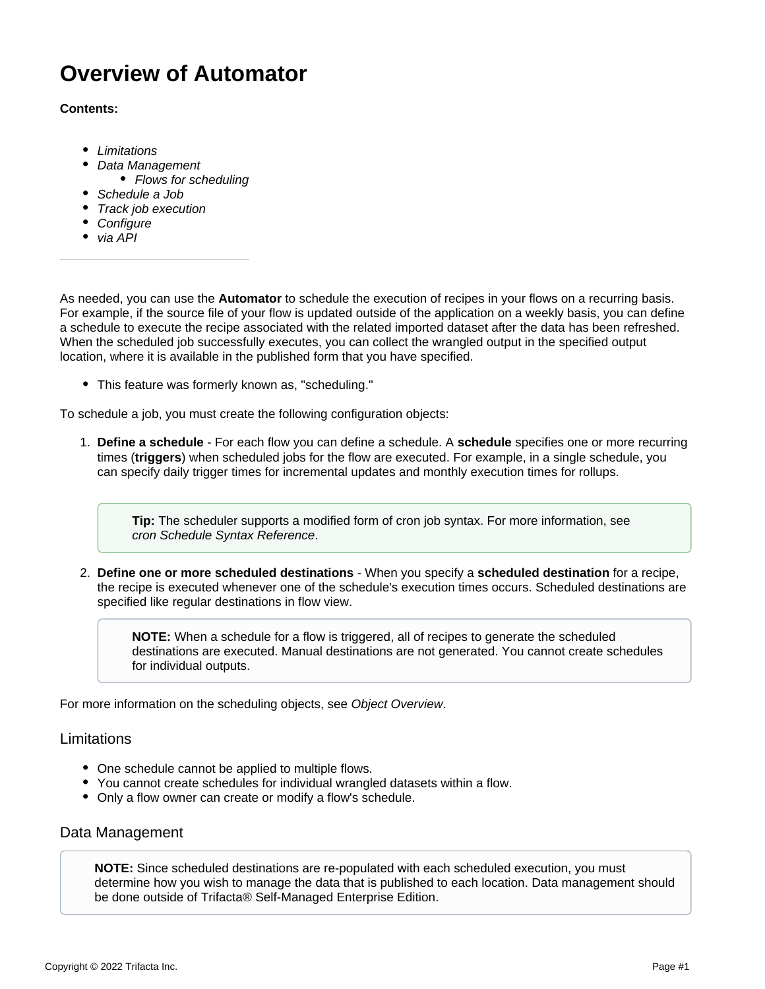# **Overview of Automator**

#### **Contents:**

- [Limitations](#page-0-0)
- [Data Management](#page-0-1)
	- [Flows for scheduling](#page-1-0)
- [Schedule a Job](#page-1-1)
- [Track job execution](#page-1-2)
- [Configure](#page-1-3)
- [via API](#page-1-4)

As needed, you can use the **Automator** to schedule the execution of recipes in your flows on a recurring basis. For example, if the source file of your flow is updated outside of the application on a weekly basis, you can define a schedule to execute the recipe associated with the related imported dataset after the data has been refreshed. When the scheduled job successfully executes, you can collect the wrangled output in the specified output location, where it is available in the published form that you have specified.

This feature was formerly known as, "scheduling."

To schedule a job, you must create the following configuration objects:

1. **Define a schedule** - For each flow you can define a schedule. A **schedule** specifies one or more recurring times (**triggers**) when scheduled jobs for the flow are executed. For example, in a single schedule, you can specify daily trigger times for incremental updates and monthly execution times for rollups.

**Tip:** The scheduler supports a modified form of cron job syntax. For more information, see [cron Schedule Syntax Reference](https://docs.trifacta.com/display/r071/cron+Schedule+Syntax+Reference).

2. **Define one or more scheduled destinations** - When you specify a **scheduled destination** for a recipe, the recipe is executed whenever one of the schedule's execution times occurs. Scheduled destinations are specified like regular destinations in flow view.

**NOTE:** When a schedule for a flow is triggered, all of recipes to generate the scheduled destinations are executed. Manual destinations are not generated. You cannot create schedules for individual outputs.

For more information on the scheduling objects, see [Object Overview](https://docs.trifacta.com/display/r071/Object+Overview).

### <span id="page-0-0"></span>Limitations

- One schedule cannot be applied to multiple flows.
- You cannot create schedules for individual wrangled datasets within a flow.
- Only a flow owner can create or modify a flow's schedule.

## <span id="page-0-1"></span>Data Management

**NOTE:** Since scheduled destinations are re-populated with each scheduled execution, you must determine how you wish to manage the data that is published to each location. Data management should be done outside of Trifacta® Self-Managed Enterprise Edition.